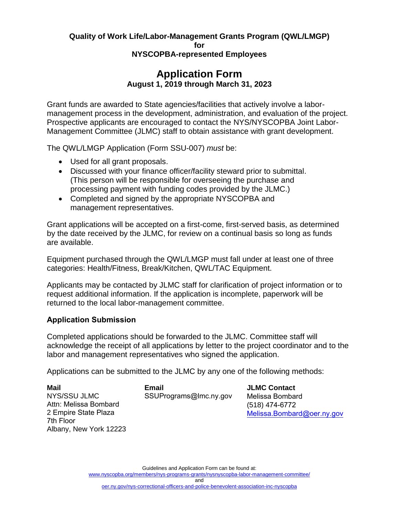## **Quality of Work Life/Labor-Management Grants Program (QWL/LMGP) for**

#### **NYSCOPBA-represented Employees**

## **Application Form August 1, 2019 through March 31, 2023**

Grant funds are awarded to State agencies/facilities that actively involve a labormanagement process in the development, administration, and evaluation of the project. Prospective applicants are encouraged to contact the NYS/NYSCOPBA Joint Labor-Management Committee (JLMC) staff to obtain assistance with grant development.

The QWL/LMGP Application (Form SSU-007) *must* be:

- Used for all grant proposals.
- Discussed with your finance officer/facility steward prior to submittal. (This person will be responsible for overseeing the purchase and processing payment with funding codes provided by the JLMC.)
- Completed and signed by the appropriate NYSCOPBA and management representatives.

Grant applications will be accepted on a first-come, first-served basis, as determined by the date received by the JLMC, for review on a continual basis so long as funds are available.

Equipment purchased through the QWL/LMGP must fall under at least one of three categories: Health/Fitness, Break/Kitchen, QWL/TAC Equipment.

Applicants may be contacted by JLMC staff for clarification of project information or to request additional information. If the application is incomplete, paperwork will be returned to the local labor-management committee.

### **Application Submission**

Completed applications should be forwarded to the JLMC. Committee staff will acknowledge the receipt of all applications by letter to the project coordinator and to the labor and management representatives who signed the application.

Applications can be submitted to the JLMC by any one of the following methods:

 NYS/SSU JLMC Attn: Melissa Bombard 2 Empire State Plaza Albany, New York 12223 **Mail**  7th Floor

**Email**  SSUPrograms@lmc.ny.gov **JLMC Contact**  Melissa Bombard (518) 474-6772 Melissa.Bombard@oer.ny.gov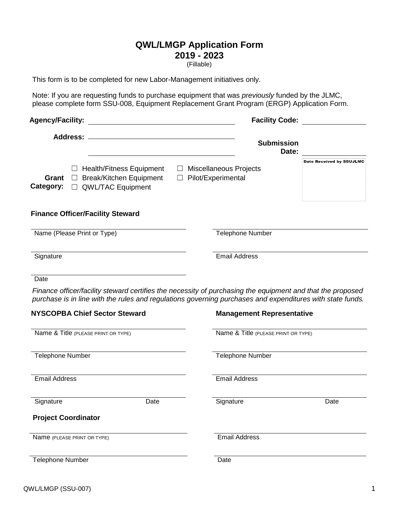# **QWL/LMGP Application Form 2019 - 2023**

(Fillable)

This form is to be completed for new Labor-Management initiatives only.

Note: If you are requesting funds to purchase equipment that was *previously* funded by the JLMC, please complete form SSU-008, Equipment Replacement Grant Program (ERGP) Application Form.

| <b>Agency/Facility:</b>                                                                                                                                                                                                 | <b>Facility Code:</b>                               |                                 |
|-------------------------------------------------------------------------------------------------------------------------------------------------------------------------------------------------------------------------|-----------------------------------------------------|---------------------------------|
|                                                                                                                                                                                                                         | <b>Submission</b><br>Date:                          |                                 |
| $\Box$ Health/Fitness Equipment<br><b>Break/Kitchen Equipment</b><br>Grant<br>$\Box$<br>Category:<br><b>QWL/TAC Equipment</b>                                                                                           | <b>Miscellaneous Projects</b><br>Pilot/Experimental | <b>Date Received by SSUJLMC</b> |
| <b>Finance Officer/Facility Steward</b>                                                                                                                                                                                 |                                                     |                                 |
| Name (Please Print or Type)                                                                                                                                                                                             | <b>Telephone Number</b>                             |                                 |
| Signature                                                                                                                                                                                                               | <b>Email Address</b>                                |                                 |
| Date                                                                                                                                                                                                                    |                                                     |                                 |
| Finance officer/facility steward certifies the necessity of purchasing the equipment and that the proposed<br>purchase is in line with the rules and regulations governing purchases and expenditures with state funds. |                                                     |                                 |
| <b>NYSCOPBA Chief Sector Steward</b>                                                                                                                                                                                    | <b>Management Representative</b>                    |                                 |
| Name & Title (PLEASE PRINT OR TYPE)                                                                                                                                                                                     | Name & Title (PLEASE PRINT OR TYPE)                 |                                 |
| Telephone Number                                                                                                                                                                                                        | <b>Telephone Number</b>                             |                                 |
| <b>Email Address</b>                                                                                                                                                                                                    | <b>Email Address</b>                                |                                 |

#### **Project Coordinator**

Name (PLEASE PRINT OR TYPE)

Signature Date Signature Date Email Address

Telephone Number

**Date**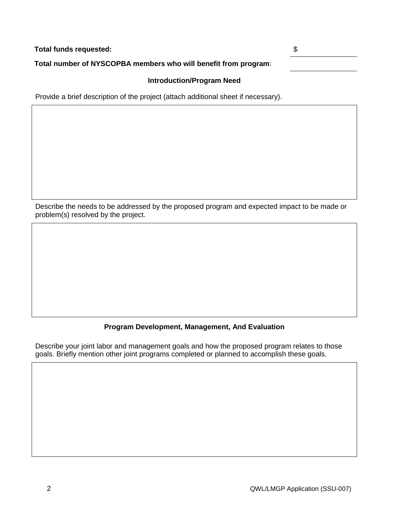| Total funds requested:                                          |  |
|-----------------------------------------------------------------|--|
| Total number of NYSCOPBA members who will benefit from program: |  |

#### **Introduction/Program Need**

Provide a brief description of the project (attach additional sheet if necessary).

 Describe the needs to be addressed by the proposed program and expected impact to be made or problem(s) resolved by the project.

#### **Program Development, Management, And Evaluation**

 Describe your joint labor and management goals and how the proposed program relates to those goals. Briefly mention other joint programs completed or planned to accomplish these goals.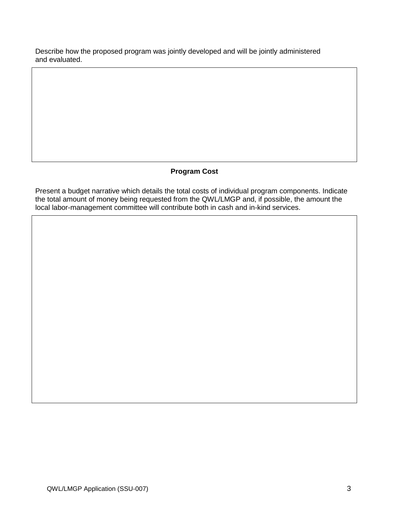Describe how the proposed program was jointly developed and will be jointly administered and evaluated.

### **Program Cost**

 Present a budget narrative which details the total costs of individual program components. Indicate the total amount of money being requested from the QWL/LMGP and, if possible, the amount the local labor-management committee will contribute both in cash and in-kind services.